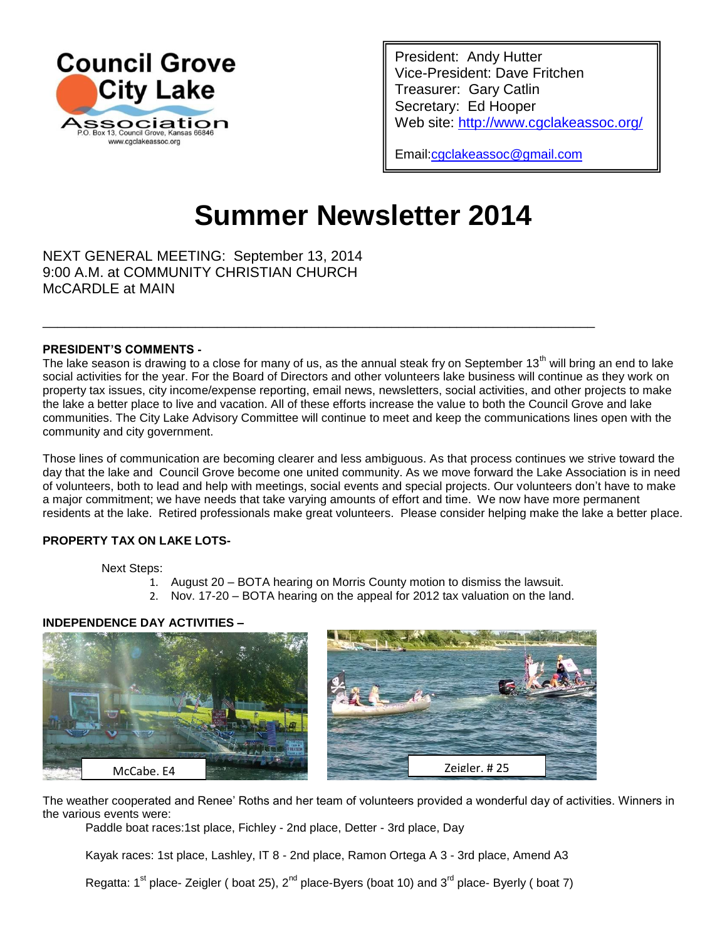

President: Andy Hutter Vice-President: Dave Fritchen Treasurer: Gary Catlin Secretary: Ed Hooper Web site:<http://www.cgclakeassoc.org/>

Email[:cgclakeassoc@gmail.com](mailto:cgclakeassoc@gmail.com) 

# **Summer Newsletter 2014**

NEXT GENERAL MEETING: September 13, 2014 9:00 A.M. at COMMUNITY CHRISTIAN CHURCH McCARDLE at MAIN

#### **PRESIDENT'S COMMENTS -**

The lake season is drawing to a close for many of us, as the annual steak fry on September 13<sup>th</sup> will bring an end to lake social activities for the year. For the Board of Directors and other volunteers lake business will continue as they work on property tax issues, city income/expense reporting, email news, newsletters, social activities, and other projects to make the lake a better place to live and vacation. All of these efforts increase the value to both the Council Grove and lake communities. The City Lake Advisory Committee will continue to meet and keep the communications lines open with the community and city government.

\_\_\_\_\_\_\_\_\_\_\_\_\_\_\_\_\_\_\_\_\_\_\_\_\_\_\_\_\_\_\_\_\_\_\_\_\_\_\_\_\_\_\_\_\_\_\_\_\_\_\_\_\_\_\_\_\_\_\_\_\_\_\_\_\_\_\_\_\_\_\_\_\_\_\_\_

Those lines of communication are becoming clearer and less ambiguous. As that process continues we strive toward the day that the lake and Council Grove become one united community. As we move forward the Lake Association is in need of volunteers, both to lead and help with meetings, social events and special projects. Our volunteers don't have to make a major commitment; we have needs that take varying amounts of effort and time. We now have more permanent residents at the lake. Retired professionals make great volunteers. Please consider helping make the lake a better place.

#### **PROPERTY TAX ON LAKE LOTS-**

Next Steps:

- 1. August 20 BOTA hearing on Morris County motion to dismiss the lawsuit.
- 2. Nov. 17-20 BOTA hearing on the appeal for 2012 tax valuation on the land.

## **INDEPENDENCE DAY ACTIVITIES –**



The weather cooperated and Renee' Roths and her team of volunteers provided a wonderful day of activities. Winners in the various events were:

Paddle boat races:1st place, Fichley - 2nd place, Detter - 3rd place, Day

Kayak races: 1st place, Lashley, IT 8 - 2nd place, Ramon Ortega A 3 - 3rd place, Amend A3

Regatta:  $1^{st}$  place- Zeigler ( boat 25),  $2^{nd}$  place-Byers (boat 10) and  $3^{rd}$  place- Byerly ( boat 7)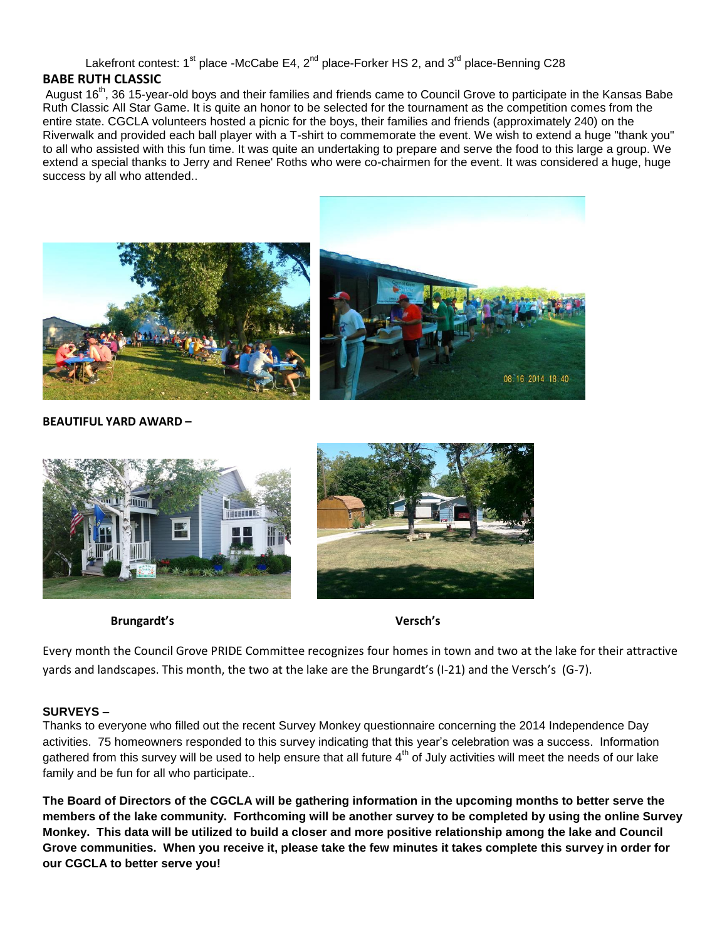Lakefront contest:  $1^{st}$  place -McCabe E4,  $2^{nd}$  place-Forker HS 2, and  $3^{rd}$  place-Benning C28

# **BABE RUTH CLASSIC**

August 16<sup>th</sup>, 36 15-year-old boys and their families and friends came to Council Grove to participate in the Kansas Babe Ruth Classic All Star Game. It is quite an honor to be selected for the tournament as the competition comes from the entire state. CGCLA volunteers hosted a picnic for the boys, their families and friends (approximately 240) on the Riverwalk and provided each ball player with a T-shirt to commemorate the event. We wish to extend a huge "thank you" to all who assisted with this fun time. It was quite an undertaking to prepare and serve the food to this large a group. We extend a special thanks to Jerry and Renee' Roths who were co-chairmen for the event. It was considered a huge, huge success by all who attended..



## **BEAUTIFUL YARD AWARD –**



 **Brungardt's Versch's**

Every month the Council Grove PRIDE Committee recognizes four homes in town and two at the lake for their attractive yards and landscapes. This month, the two at the lake are the Brungardt's (I-21) and the Versch's (G-7).

## **SURVEYS –**

Thanks to everyone who filled out the recent Survey Monkey questionnaire concerning the 2014 Independence Day activities. 75 homeowners responded to this survey indicating that this year's celebration was a success. Information gathered from this survey will be used to help ensure that all future  $4<sup>th</sup>$  of July activities will meet the needs of our lake family and be fun for all who participate..

**The Board of Directors of the CGCLA will be gathering information in the upcoming months to better serve the members of the lake community. Forthcoming will be another survey to be completed by using the online Survey Monkey. This data will be utilized to build a closer and more positive relationship among the lake and Council Grove communities. When you receive it, please take the few minutes it takes complete this survey in order for our CGCLA to better serve you!**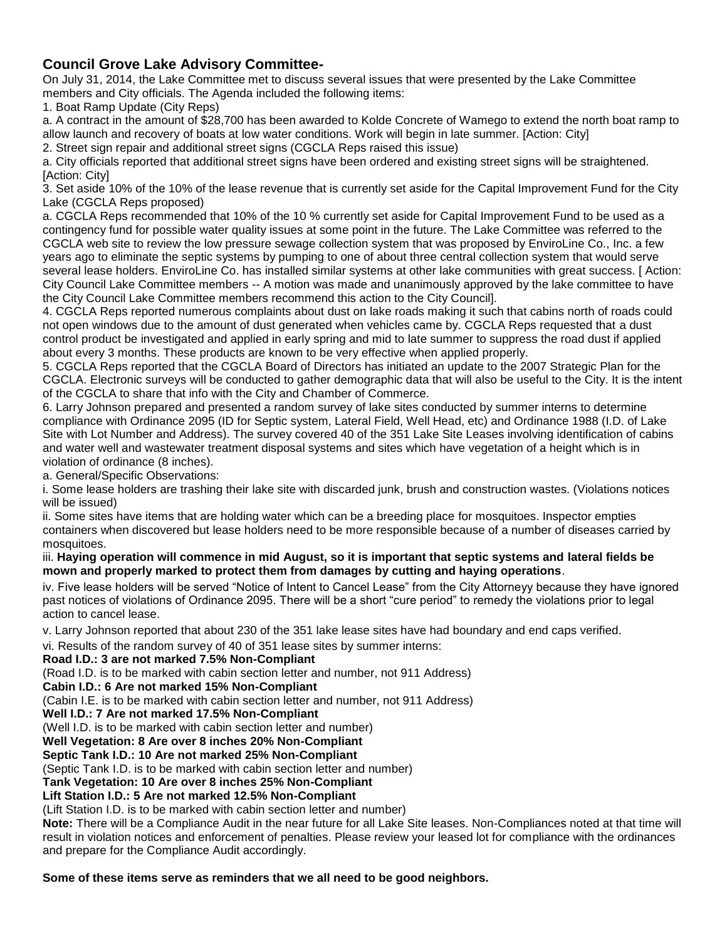# **Council Grove Lake Advisory Committee-**

On July 31, 2014, the Lake Committee met to discuss several issues that were presented by the Lake Committee members and City officials. The Agenda included the following items:

1. Boat Ramp Update (City Reps)

a. A contract in the amount of \$28,700 has been awarded to Kolde Concrete of Wamego to extend the north boat ramp to allow launch and recovery of boats at low water conditions. Work will begin in late summer. [Action: City]

2. Street sign repair and additional street signs (CGCLA Reps raised this issue)

a. City officials reported that additional street signs have been ordered and existing street signs will be straightened. [Action: City]

3. Set aside 10% of the 10% of the lease revenue that is currently set aside for the Capital Improvement Fund for the City Lake (CGCLA Reps proposed)

a. CGCLA Reps recommended that 10% of the 10 % currently set aside for Capital Improvement Fund to be used as a contingency fund for possible water quality issues at some point in the future. The Lake Committee was referred to the CGCLA web site to review the low pressure sewage collection system that was proposed by EnviroLine Co., Inc. a few years ago to eliminate the septic systems by pumping to one of about three central collection system that would serve several lease holders. EnviroLine Co. has installed similar systems at other lake communities with great success. [ Action: City Council Lake Committee members -- A motion was made and unanimously approved by the lake committee to have the City Council Lake Committee members recommend this action to the City Council].

4. CGCLA Reps reported numerous complaints about dust on lake roads making it such that cabins north of roads could not open windows due to the amount of dust generated when vehicles came by. CGCLA Reps requested that a dust control product be investigated and applied in early spring and mid to late summer to suppress the road dust if applied about every 3 months. These products are known to be very effective when applied properly.

5. CGCLA Reps reported that the CGCLA Board of Directors has initiated an update to the 2007 Strategic Plan for the CGCLA. Electronic surveys will be conducted to gather demographic data that will also be useful to the City. It is the intent of the CGCLA to share that info with the City and Chamber of Commerce.

6. Larry Johnson prepared and presented a random survey of lake sites conducted by summer interns to determine compliance with Ordinance 2095 (ID for Septic system, Lateral Field, Well Head, etc) and Ordinance 1988 (I.D. of Lake Site with Lot Number and Address). The survey covered 40 of the 351 Lake Site Leases involving identification of cabins and water well and wastewater treatment disposal systems and sites which have vegetation of a height which is in violation of ordinance (8 inches).

a. General/Specific Observations:

i. Some lease holders are trashing their lake site with discarded junk, brush and construction wastes. (Violations notices will be issued)

ii. Some sites have items that are holding water which can be a breeding place for mosquitoes. Inspector empties containers when discovered but lease holders need to be more responsible because of a number of diseases carried by mosquitoes.

#### iii. **Haying operation will commence in mid August, so it is important that septic systems and lateral fields be mown and properly marked to protect them from damages by cutting and haying operations**.

iv. Five lease holders will be served "Notice of Intent to Cancel Lease" from the City Attorneyy because they have ignored past notices of violations of Ordinance 2095. There will be a short "cure period" to remedy the violations prior to legal action to cancel lease.

v. Larry Johnson reported that about 230 of the 351 lake lease sites have had boundary and end caps verified.

vi. Results of the random survey of 40 of 351 lease sites by summer interns:

#### **Road I.D.: 3 are not marked 7.5% Non-Compliant**

(Road I.D. is to be marked with cabin section letter and number, not 911 Address)

#### **Cabin I.D.: 6 Are not marked 15% Non-Compliant**

(Cabin I.E. is to be marked with cabin section letter and number, not 911 Address)

#### **Well I.D.: 7 Are not marked 17.5% Non-Compliant**

(Well I.D. is to be marked with cabin section letter and number)

**Well Vegetation: 8 Are over 8 inches 20% Non-Compliant** 

## **Septic Tank I.D.: 10 Are not marked 25% Non-Compliant**

(Septic Tank I.D. is to be marked with cabin section letter and number)

## **Tank Vegetation: 10 Are over 8 inches 25% Non-Compliant**

# **Lift Station I.D.: 5 Are not marked 12.5% Non-Compliant**

(Lift Station I.D. is to be marked with cabin section letter and number)

**Note:** There will be a Compliance Audit in the near future for all Lake Site leases. Non-Compliances noted at that time will result in violation notices and enforcement of penalties. Please review your leased lot for compliance with the ordinances and prepare for the Compliance Audit accordingly.

# **Some of these items serve as reminders that we all need to be good neighbors.**